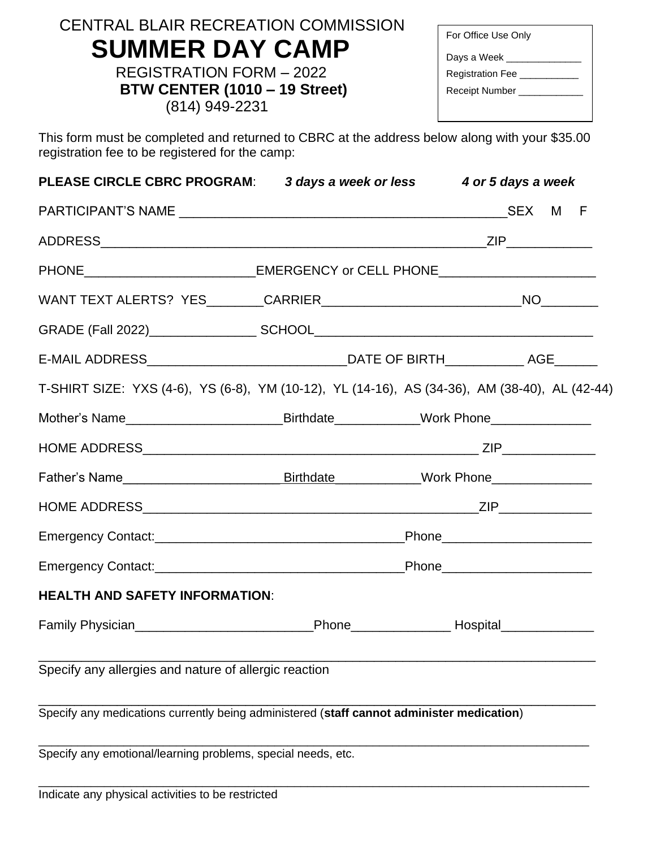| <b>CENTRAL BLAIR RECREATION COMMISSION</b> |
|--------------------------------------------|
| <b>SUMMER DAY CAMP</b>                     |

REGISTRATION FORM – 2022 **BTW CENTER (1010 – 19 Street)** (814) 949-2231

| For Office Use Only     |
|-------------------------|
| Days a Week ___         |
| <b>Registration Fee</b> |
| Receipt Number          |
|                         |

This form must be completed and returned to CBRC at the address below along with your \$35.00 registration fee to be registered for the camp:

| <b>PLEASE CIRCLE CBRC PROGRAM:</b>                                                                                                                                                                                                   |  | 3 days a week or less 4 or 5 days a week |  |
|--------------------------------------------------------------------------------------------------------------------------------------------------------------------------------------------------------------------------------------|--|------------------------------------------|--|
|                                                                                                                                                                                                                                      |  |                                          |  |
|                                                                                                                                                                                                                                      |  |                                          |  |
| PHONE_____________________________EMERGENCY or CELL PHONE_______________________                                                                                                                                                     |  |                                          |  |
|                                                                                                                                                                                                                                      |  |                                          |  |
|                                                                                                                                                                                                                                      |  |                                          |  |
|                                                                                                                                                                                                                                      |  |                                          |  |
| T-SHIRT SIZE: YXS (4-6), YS (6-8), YM (10-12), YL (14-16), AS (34-36), AM (38-40), AL (42-44)                                                                                                                                        |  |                                          |  |
| Mother's Name________________________________Birthdate_____________Work Phone______________________                                                                                                                                  |  |                                          |  |
|                                                                                                                                                                                                                                      |  |                                          |  |
| Father's Name <b>Manual Contract Contract Contract Contract Contract Contract Contract Contract Contract Contract Contract Contract Contract Contract Contract Contract Contract Contract Contract Contract Contract Contract Co</b> |  |                                          |  |
|                                                                                                                                                                                                                                      |  |                                          |  |
|                                                                                                                                                                                                                                      |  |                                          |  |
|                                                                                                                                                                                                                                      |  |                                          |  |
| <b>HEALTH AND SAFETY INFORMATION:</b>                                                                                                                                                                                                |  |                                          |  |
| Family Physician_________________________________Phone___________________Hospital__________________                                                                                                                                  |  |                                          |  |
| Specify any allergies and nature of allergic reaction                                                                                                                                                                                |  |                                          |  |
| Specify any medications currently being administered (staff cannot administer medication)                                                                                                                                            |  |                                          |  |
| Specify any emotional/learning problems, special needs, etc.                                                                                                                                                                         |  |                                          |  |

\_\_\_\_\_\_\_\_\_\_\_\_\_\_\_\_\_\_\_\_\_\_\_\_\_\_\_\_\_\_\_\_\_\_\_\_\_\_\_\_\_\_\_\_\_\_\_\_\_\_\_\_\_\_\_\_\_\_\_\_\_\_\_\_\_\_\_\_\_\_\_\_\_\_\_\_\_\_\_\_\_\_\_\_